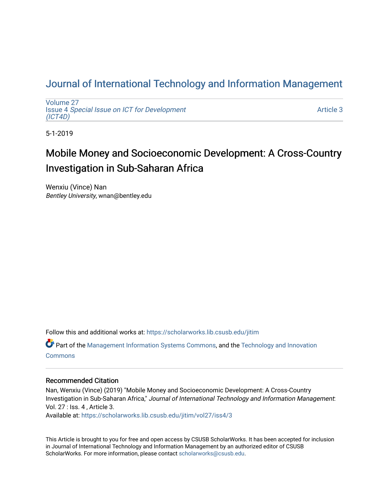## [Journal of International Technology and Information Management](https://scholarworks.lib.csusb.edu/jitim)

[Volume 27](https://scholarworks.lib.csusb.edu/jitim/vol27) Issue 4 [Special Issue on ICT for Development](https://scholarworks.lib.csusb.edu/jitim/vol27/iss4) [\(ICT4D\)](https://scholarworks.lib.csusb.edu/jitim/vol27/iss4) 

[Article 3](https://scholarworks.lib.csusb.edu/jitim/vol27/iss4/3) 

5-1-2019

# Mobile Money and Socioeconomic Development: A Cross-Country Investigation in Sub-Saharan Africa

Wenxiu (Vince) Nan Bentley University, wnan@bentley.edu

Follow this and additional works at: [https://scholarworks.lib.csusb.edu/jitim](https://scholarworks.lib.csusb.edu/jitim?utm_source=scholarworks.lib.csusb.edu%2Fjitim%2Fvol27%2Fiss4%2F3&utm_medium=PDF&utm_campaign=PDFCoverPages) 

Part of the [Management Information Systems Commons,](http://network.bepress.com/hgg/discipline/636?utm_source=scholarworks.lib.csusb.edu%2Fjitim%2Fvol27%2Fiss4%2F3&utm_medium=PDF&utm_campaign=PDFCoverPages) and the [Technology and Innovation](http://network.bepress.com/hgg/discipline/644?utm_source=scholarworks.lib.csusb.edu%2Fjitim%2Fvol27%2Fiss4%2F3&utm_medium=PDF&utm_campaign=PDFCoverPages) **[Commons](http://network.bepress.com/hgg/discipline/644?utm_source=scholarworks.lib.csusb.edu%2Fjitim%2Fvol27%2Fiss4%2F3&utm_medium=PDF&utm_campaign=PDFCoverPages)** 

#### Recommended Citation

Nan, Wenxiu (Vince) (2019) "Mobile Money and Socioeconomic Development: A Cross-Country Investigation in Sub-Saharan Africa," Journal of International Technology and Information Management: Vol. 27 : Iss. 4 , Article 3. Available at: [https://scholarworks.lib.csusb.edu/jitim/vol27/iss4/3](https://scholarworks.lib.csusb.edu/jitim/vol27/iss4/3?utm_source=scholarworks.lib.csusb.edu%2Fjitim%2Fvol27%2Fiss4%2F3&utm_medium=PDF&utm_campaign=PDFCoverPages) 

This Article is brought to you for free and open access by CSUSB ScholarWorks. It has been accepted for inclusion in Journal of International Technology and Information Management by an authorized editor of CSUSB ScholarWorks. For more information, please contact [scholarworks@csusb.edu.](mailto:scholarworks@csusb.edu)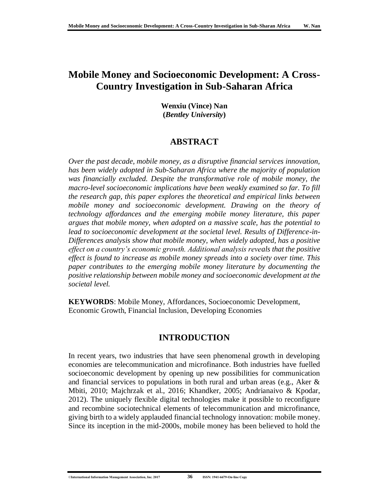## **Mobile Money and Socioeconomic Development: A Cross-Country Investigation in Sub-Saharan Africa**

**Wenxiu (Vince) Nan (***Bentley University***)**

### **ABSTRACT**

*Over the past decade, mobile money, as a disruptive financial services innovation, has been widely adopted in Sub-Saharan Africa where the majority of population was financially excluded. Despite the transformative role of mobile money, the macro-level socioeconomic implications have been weakly examined so far. To fill the research gap, this paper explores the theoretical and empirical links between mobile money and socioeconomic development. Drawing on the theory of technology affordances and the emerging mobile money literature, this paper argues that mobile money, when adopted on a massive scale, has the potential to lead to socioeconomic development at the societal level. Results of Difference-in-Differences analysis show that mobile money, when widely adopted, has a positive effect on a country's economic growth. Additional analysis reveals that the positive effect is found to increase as mobile money spreads into a society over time. This paper contributes to the emerging mobile money literature by documenting the positive relationship between mobile money and socioeconomic development at the societal level.*

**KEYWORDS**: Mobile Money, Affordances, Socioeconomic Development, Economic Growth, Financial Inclusion, Developing Economies

## **INTRODUCTION**

In recent years, two industries that have seen phenomenal growth in developing economies are telecommunication and microfinance. Both industries have fuelled socioeconomic development by opening up new possibilities for communication and financial services to populations in both rural and urban areas (e.g., Aker & Mbiti, 2010; Majchrzak et al., 2016; Khandker, 2005; Andrianaivo & Kpodar, 2012). The uniquely flexible digital technologies make it possible to reconfigure and recombine sociotechnical elements of telecommunication and microfinance, giving birth to a widely applauded financial technology innovation: mobile money. Since its inception in the mid-2000s, mobile money has been believed to hold the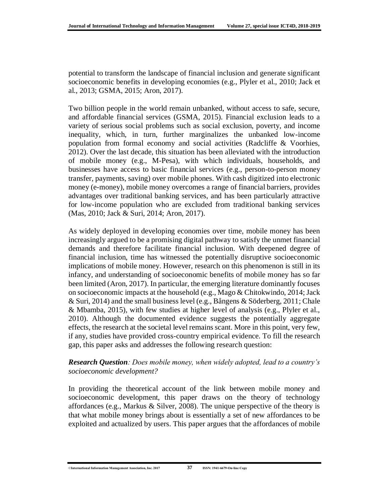potential to transform the landscape of financial inclusion and generate significant socioeconomic benefits in developing economies (e.g., Plyler et al., 2010; Jack et al., 2013; GSMA, 2015; Aron, 2017).

Two billion people in the world remain unbanked, without access to safe, secure, and affordable financial services (GSMA, 2015). Financial exclusion leads to a variety of serious social problems such as social exclusion, poverty, and income inequality, which, in turn, further marginalizes the unbanked low-income population from formal economy and social activities (Radcliffe & Voorhies, 2012). Over the last decade, this situation has been alleviated with the introduction of mobile money (e.g., M-Pesa), with which individuals, households, and businesses have access to basic financial services (e.g., person-to-person money transfer, payments, saving) over mobile phones. With cash digitized into electronic money (e-money), mobile money overcomes a range of financial barriers, provides advantages over traditional banking services, and has been particularly attractive for low-income population who are excluded from traditional banking services (Mas, 2010; Jack & Suri, 2014; Aron, 2017).

As widely deployed in developing economies over time, mobile money has been increasingly argued to be a promising digital pathway to satisfy the unmet financial demands and therefore facilitate financial inclusion. With deepened degree of financial inclusion, time has witnessed the potentially disruptive socioeconomic implications of mobile money. However, research on this phenomenon is still in its infancy, and understanding of socioeconomic benefits of mobile money has so far been limited (Aron, 2017). In particular, the emerging literature dominantly focuses on socioeconomic impacts at the household (e.g., Mago & Chitokwindo, 2014; Jack & Suri, 2014) and the small business level (e.g., Bångens & Söderberg, 2011; Chale & Mbamba, 2015), with few studies at higher level of analysis (e.g., Plyler et al., 2010). Although the documented evidence suggests the potentially aggregate effects, the research at the societal level remains scant. More in this point, very few, if any, studies have provided cross-country empirical evidence. To fill the research gap, this paper asks and addresses the following research question:

#### *Research Question: Does mobile money, when widely adopted, lead to a country's socioeconomic development?*

In providing the theoretical account of the link between mobile money and socioeconomic development, this paper draws on the theory of technology affordances (e.g., Markus & Silver, 2008). The unique perspective of the theory is that what mobile money brings about is essentially a set of new affordances to be exploited and actualized by users. This paper argues that the affordances of mobile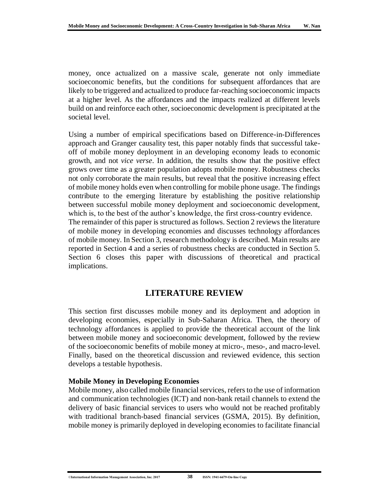money, once actualized on a massive scale, generate not only immediate socioeconomic benefits, but the conditions for subsequent affordances that are likely to be triggered and actualized to produce far-reaching socioeconomic impacts at a higher level. As the affordances and the impacts realized at different levels build on and reinforce each other, socioeconomic development is precipitated at the societal level.

Using a number of empirical specifications based on Difference-in-Differences approach and Granger causality test, this paper notably finds that successful takeoff of mobile money deployment in an developing economy leads to economic growth, and not *vice verse*. In addition, the results show that the positive effect grows over time as a greater population adopts mobile money. Robustness checks not only corroborate the main results, but reveal that the positive increasing effect of mobile money holds even when controlling for mobile phone usage. The findings contribute to the emerging literature by establishing the positive relationship between successful mobile money deployment and socioeconomic development, which is, to the best of the author's knowledge, the first cross-country evidence. The remainder of this paper is structured as follows. Section 2 reviews the literature of mobile money in developing economies and discusses technology affordances of mobile money. In Section 3, research methodology is described. Main results are reported in Section 4 and a series of robustness checks are conducted in Section 5. Section 6 closes this paper with discussions of theoretical and practical implications.

## **LITERATURE REVIEW**

This section first discusses mobile money and its deployment and adoption in developing economies, especially in Sub-Saharan Africa. Then, the theory of technology affordances is applied to provide the theoretical account of the link between mobile money and socioeconomic development, followed by the review of the socioeconomic benefits of mobile money at micro-, meso-, and macro-level. Finally, based on the theoretical discussion and reviewed evidence, this section develops a testable hypothesis.

#### **Mobile Money in Developing Economies**

Mobile money, also called mobile financial services, refers to the use of information and communication technologies (ICT) and non-bank retail channels to extend the delivery of basic financial services to users who would not be reached profitably with traditional branch-based financial services (GSMA, 2015). By definition, mobile money is primarily deployed in developing economies to facilitate financial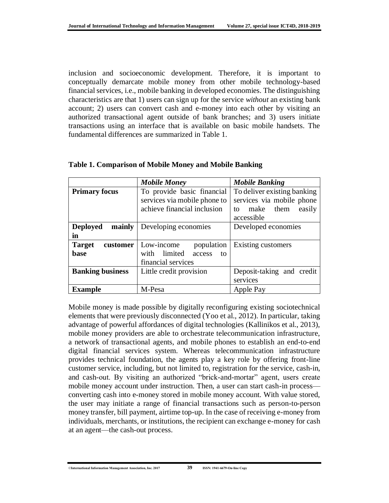inclusion and socioeconomic development. Therefore, it is important to conceptually demarcate mobile money from other mobile technology-based financial services, i.e., mobile banking in developed economies. The distinguishing characteristics are that 1) users can sign up for the service *without* an existing bank account; 2) users can convert cash and e-money into each other by visiting an authorized transactional agent outside of bank branches; and 3) users initiate transactions using an interface that is available on basic mobile handsets. The fundamental differences are summarized in Table 1.

|                                   | <b>Mobile Money</b>                                                                       | <b>Mobile Banking</b>                                                                                  |  |  |
|-----------------------------------|-------------------------------------------------------------------------------------------|--------------------------------------------------------------------------------------------------------|--|--|
| <b>Primary focus</b>              | To provide basic financial<br>services via mobile phone to<br>achieve financial inclusion | To deliver existing banking<br>services via mobile phone<br>make<br>them<br>easily<br>to<br>accessible |  |  |
| <b>Deployed</b><br>mainly<br>in   | Developing economies                                                                      | Developed economies                                                                                    |  |  |
| <b>Target</b><br>customer<br>base | Low-income<br>population<br>with limited<br>access<br>to<br>financial services            | Existing customers                                                                                     |  |  |
| <b>Banking business</b>           | Little credit provision                                                                   | Deposit-taking and credit<br>services                                                                  |  |  |
| <b>Example</b>                    | M-Pesa                                                                                    | Apple Pay                                                                                              |  |  |

#### **Table 1. Comparison of Mobile Money and Mobile Banking**

Mobile money is made possible by digitally reconfiguring existing sociotechnical elements that were previously disconnected (Yoo et al., 2012). In particular, taking advantage of powerful affordances of digital technologies (Kallinikos et al., 2013), mobile money providers are able to orchestrate telecommunication infrastructure, a network of transactional agents, and mobile phones to establish an end-to-end digital financial services system. Whereas telecommunication infrastructure provides technical foundation, the agents play a key role by offering front-line customer service, including, but not limited to, registration for the service, cash-in, and cash-out. By visiting an authorized "brick-and-mortar" agent, users create mobile money account under instruction. Then, a user can start cash-in process converting cash into e-money stored in mobile money account. With value stored, the user may initiate a range of financial transactions such as person-to-person money transfer, bill payment, airtime top-up. In the case of receiving e-money from individuals, merchants, or institutions, the recipient can exchange e-money for cash at an agent—the cash-out process.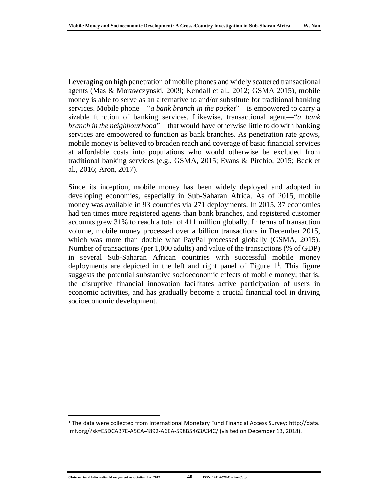Leveraging on high penetration of mobile phones and widely scattered transactional agents (Mas & Morawczynski, 2009; Kendall et al., 2012; GSMA 2015), mobile money is able to serve as an alternative to and/or substitute for traditional banking services. Mobile phone—"*a bank branch in the pocket*"—is empowered to carry a sizable function of banking services. Likewise, transactional agent—"*a bank branch in the neighbourhood*"—that would have otherwise little to do with banking services are empowered to function as bank branches. As penetration rate grows, mobile money is believed to broaden reach and coverage of basic financial services at affordable costs into populations who would otherwise be excluded from traditional banking services (e.g., GSMA, 2015; Evans & Pirchio, 2015; Beck et al., 2016; Aron, 2017).

Since its inception, mobile money has been widely deployed and adopted in developing economies, especially in Sub-Saharan Africa. As of 2015, mobile money was available in 93 countries via 271 deployments. In 2015, 37 economies had ten times more registered agents than bank branches, and registered customer accounts grew 31% to reach a total of 411 million globally. In terms of transaction volume, mobile money processed over a billion transactions in December 2015, which was more than double what PayPal processed globally (GSMA, 2015). Number of transactions (per 1,000 adults) and value of the transactions (% of GDP) in several Sub-Saharan African countries with successful mobile money deployments are depicted in the left and right panel of Figure  $1<sup>1</sup>$ . This figure suggests the potential substantive socioeconomic effects of mobile money; that is, the disruptive financial innovation facilitates active participation of users in economic activities, and has gradually become a crucial financial tool in driving socioeconomic development.

 $\overline{\phantom{a}}$ 

<sup>1</sup> The data were collected from International Monetary Fund Financial Access Survey: [http://data.](http://data.imf.org/?sk=E5DCAB7E-A5CA-4892-A6EA-598B5463A34C/) [imf.org/?sk=E5DCAB7E-A5CA-4892-A6EA-598B5463A34C/](http://data.imf.org/?sk=E5DCAB7E-A5CA-4892-A6EA-598B5463A34C/) (visited on December 13, 2018).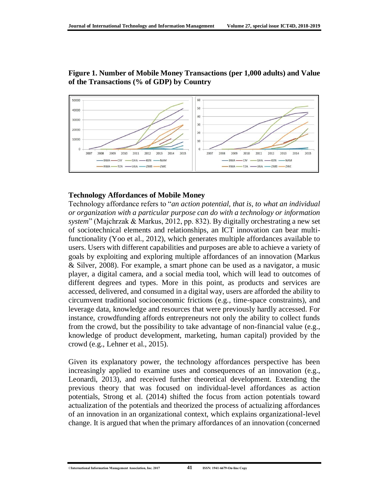

**Figure 1. Number of Mobile Money Transactions (per 1,000 adults) and Value of the Transactions (% of GDP) by Country**

#### **Technology Affordances of Mobile Money**

Technology affordance refers to "*an action potential, that is, to what an individual or organization with a particular purpose can do with a technology or information system*" (Majchrzak & Markus, 2012, pp. 832). By digitally orchestrating a new set of sociotechnical elements and relationships, an ICT innovation can bear multifunctionality (Yoo et al., 2012), which generates multiple affordances available to users. Users with different capabilities and purposes are able to achieve a variety of goals by exploiting and exploring multiple affordances of an innovation (Markus & Silver, 2008). For example, a smart phone can be used as a navigator, a music player, a digital camera, and a social media tool, which will lead to outcomes of different degrees and types. More in this point, as products and services are accessed, delivered, and consumed in a digital way, users are afforded the ability to circumvent traditional socioeconomic frictions (e.g., time-space constraints), and leverage data, knowledge and resources that were previously hardly accessed. For instance, crowdfunding affords entrepreneurs not only the ability to collect funds from the crowd, but the possibility to take advantage of non-financial value (e.g., knowledge of product development, marketing, human capital) provided by the crowd (e.g., Lehner et al., 2015).

Given its explanatory power, the technology affordances perspective has been increasingly applied to examine uses and consequences of an innovation (e.g., Leonardi, 2013), and received further theoretical development. Extending the previous theory that was focused on individual-level affordances as action potentials, Strong et al. (2014) shifted the focus from action potentials toward actualization of the potentials and theorized the process of actualizing affordances of an innovation in an organizational context, which explains organizational-level change. It is argued that when the primary affordances of an innovation (concerned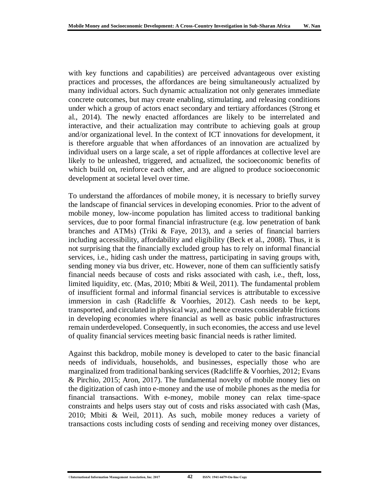with key functions and capabilities) are perceived advantageous over existing practices and processes, the affordances are being simultaneously actualized by many individual actors. Such dynamic actualization not only generates immediate concrete outcomes, but may create enabling, stimulating, and releasing conditions under which a group of actors enact secondary and tertiary affordances (Strong et al., 2014). The newly enacted affordances are likely to be interrelated and interactive, and their actualization may contribute to achieving goals at group and/or organizational level. In the context of ICT innovations for development, it is therefore arguable that when affordances of an innovation are actualized by individual users on a large scale, a set of ripple affordances at collective level are likely to be unleashed, triggered, and actualized, the socioeconomic benefits of which build on, reinforce each other, and are aligned to produce socioeconomic development at societal level over time.

To understand the affordances of mobile money, it is necessary to briefly survey the landscape of financial services in developing economies. Prior to the advent of mobile money, low-income population has limited access to traditional banking services, due to poor formal financial infrastructure (e.g. low penetration of bank branches and ATMs) (Triki & Faye, 2013), and a series of financial barriers including accessibility, affordability and eligibility (Beck et al., 2008). Thus, it is not surprising that the financially excluded group has to rely on informal financial services, i.e., hiding cash under the mattress, participating in saving groups with, sending money via bus driver, etc. However, none of them can sufficiently satisfy financial needs because of costs and risks associated with cash, i.e., theft, loss, limited liquidity, etc. (Mas, 2010; Mbiti & Weil, 2011). The fundamental problem of insufficient formal and informal financial services is attributable to excessive immersion in cash (Radcliffe & Voorhies, 2012). Cash needs to be kept, transported, and circulated in physical way, and hence creates considerable frictions in developing economies where financial as well as basic public infrastructures remain underdeveloped. Consequently, in such economies, the access and use level of quality financial services meeting basic financial needs is rather limited.

Against this backdrop, mobile money is developed to cater to the basic financial needs of individuals, households, and businesses, especially those who are marginalized from traditional banking services (Radcliffe & Voorhies, 2012; Evans & Pirchio, 2015; Aron, 2017). The fundamental novelty of mobile money lies on the digitization of cash into e-money and the use of mobile phones as the media for financial transactions. With e-money, mobile money can relax time-space constraints and helps users stay out of costs and risks associated with cash (Mas, 2010; Mbiti & Weil, 2011). As such, mobile money reduces a variety of transactions costs including costs of sending and receiving money over distances,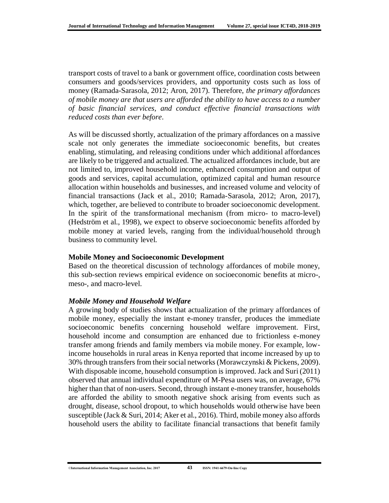transport costs of travel to a bank or government office, coordination costs between consumers and goods/services providers, and opportunity costs such as loss of money (Ramada-Sarasola, 2012; Aron, 2017). Therefore, *the primary affordances of mobile money are that users are afforded the ability to have access to a number of basic financial services, and conduct effective financial transactions with reduced costs than ever before*.

As will be discussed shortly, actualization of the primary affordances on a massive scale not only generates the immediate socioeconomic benefits, but creates enabling, stimulating, and releasing conditions under which additional affordances are likely to be triggered and actualized. The actualized affordances include, but are not limited to, improved household income, enhanced consumption and output of goods and services, capital accumulation, optimized capital and human resource allocation within households and businesses, and increased volume and velocity of financial transactions (Jack et al., 2010; Ramada-Sarasola, 2012; Aron, 2017), which, together, are believed to contribute to broader socioeconomic development. In the spirit of the transformational mechanism (from micro- to macro-level) (Hedström et al., 1998), we expect to observe socioeconomic benefits afforded by mobile money at varied levels, ranging from the individual/household through business to community level.

#### **Mobile Money and Socioeconomic Development**

Based on the theoretical discussion of technology affordances of mobile money, this sub-section reviews empirical evidence on socioeconomic benefits at micro-, meso-, and macro-level.

#### *Mobile Money and Household Welfare*

A growing body of studies shows that actualization of the primary affordances of mobile money, especially the instant e-money transfer, produces the immediate socioeconomic benefits concerning household welfare improvement. First, household income and consumption are enhanced due to frictionless e-money transfer among friends and family members via mobile money. For example, lowincome households in rural areas in Kenya reported that income increased by up to 30% through transfers from their social networks (Morawczynski & Pickens, 2009). With disposable income, household consumption is improved. Jack and Suri (2011) observed that annual individual expenditure of M-Pesa users was, on average, 67% higher than that of non-users. Second, through instant e-money transfer, households are afforded the ability to smooth negative shock arising from events such as drought, disease, school dropout, to which households would otherwise have been susceptible (Jack & Suri, 2014; Aker et al., 2016). Third, mobile money also affords household users the ability to facilitate financial transactions that benefit family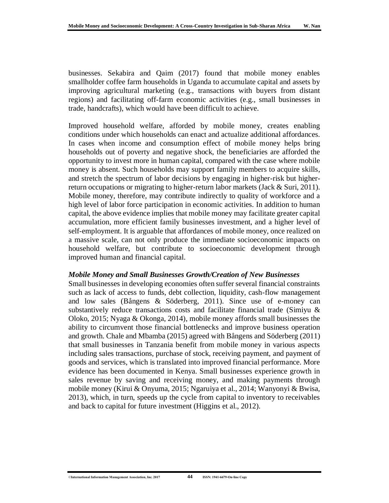businesses. Sekabira and Qaim (2017) found that mobile money enables smallholder coffee farm households in Uganda to accumulate capital and assets by improving agricultural marketing (e.g., transactions with buyers from distant regions) and facilitating off-farm economic activities (e.g., small businesses in trade, handcrafts), which would have been difficult to achieve.

Improved household welfare, afforded by mobile money, creates enabling conditions under which households can enact and actualize additional affordances. In cases when income and consumption effect of mobile money helps bring households out of poverty and negative shock, the beneficiaries are afforded the opportunity to invest more in human capital, compared with the case where mobile money is absent. Such households may support family members to acquire skills, and stretch the spectrum of labor decisions by engaging in higher-risk but higherreturn occupations or migrating to higher-return labor markets (Jack & Suri, 2011). Mobile money, therefore, may contribute indirectly to quality of workforce and a high level of labor force participation in economic activities. In addition to human capital, the above evidence implies that mobile money may facilitate greater capital accumulation, more efficient family businesses investment, and a higher level of self-employment. It is arguable that affordances of mobile money, once realized on a massive scale, can not only produce the immediate socioeconomic impacts on household welfare, but contribute to socioeconomic development through improved human and financial capital.

#### *Mobile Money and Small Businesses Growth/Creation of New Businesses*

Small businesses in developing economies often suffer several financial constraints such as lack of access to funds, debt collection, liquidity, cash-flow management and low sales (Bångens & Söderberg, 2011). Since use of e-money can substantively reduce transactions costs and facilitate financial trade (Simiyu & Oloko, 2015; Nyaga & Okonga, 2014), mobile money affords small businesses the ability to circumvent those financial bottlenecks and improve business operation and growth. Chale and Mbamba (2015) agreed with Bångens and Söderberg (2011) that small businesses in Tanzania benefit from mobile money in various aspects including sales transactions, purchase of stock, receiving payment, and payment of goods and services, which is translated into improved financial performance. More evidence has been documented in Kenya. Small businesses experience growth in sales revenue by saving and receiving money, and making payments through mobile money (Kirui & Onyuma, 2015; Ngaruiya et al., 2014; Wanyonyi & Bwisa, 2013), which, in turn, speeds up the cycle from capital to inventory to receivables and back to capital for future investment (Higgins et al., 2012).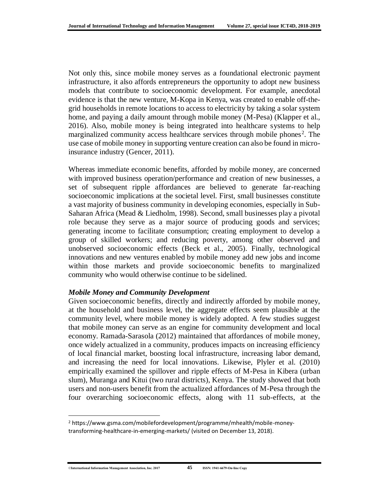Not only this, since mobile money serves as a foundational electronic payment infrastructure, it also affords entrepreneurs the opportunity to adopt new business models that contribute to socioeconomic development. For example, anecdotal evidence is that the new venture, M-Kopa in Kenya, was created to enable off-thegrid households in remote locations to access to electricity by taking a solar system home, and paying a daily amount through mobile money (M-Pesa) (Klapper et al., 2016). Also, mobile money is being integrated into healthcare systems to help marginalized community access healthcare services through mobile phones<sup>2</sup>. The use case of mobile money in supporting venture creation can also be found in microinsurance industry (Gencer, 2011).

Whereas immediate economic benefits, afforded by mobile money, are concerned with improved business operation/performance and creation of new businesses, a set of subsequent ripple affordances are believed to generate far-reaching socioeconomic implications at the societal level. First, small businesses constitute a vast majority of business community in developing economies, especially in Sub-Saharan Africa (Mead & Liedholm, 1998). Second, small businesses play a pivotal role because they serve as a major source of producing goods and services; generating income to facilitate consumption; creating employment to develop a group of skilled workers; and reducing poverty, among other observed and unobserved socioeconomic effects (Beck et al., 2005). Finally, technological innovations and new ventures enabled by mobile money add new jobs and income within those markets and provide socioeconomic benefits to marginalized community who would otherwise continue to be sidelined.

#### *Mobile Money and Community Development*

Given socioeconomic benefits, directly and indirectly afforded by mobile money, at the household and business level, the aggregate effects seem plausible at the community level, where mobile money is widely adopted. A few studies suggest that mobile money can serve as an engine for community development and local economy. Ramada-Sarasola (2012) maintained that affordances of mobile money, once widely actualized in a community, produces impacts on increasing efficiency of local financial market, boosting local infrastructure, increasing labor demand, and increasing the need for local innovations. Likewise, Plyler et al. (2010) empirically examined the spillover and ripple effects of M-Pesa in Kibera (urban slum), Muranga and Kitui (two rural districts), Kenya. The study showed that both users and non-users benefit from the actualized affordances of M-Pesa through the four overarching socioeconomic effects, along with 11 sub-effects, at the

 $\overline{\phantom{a}}$ 

<sup>2</sup> https://www.gsma.com/mobilefordevelopment/programme/mhealth/mobile-moneytransforming-healthcare-in-emerging-markets/ (visited on December 13, 2018).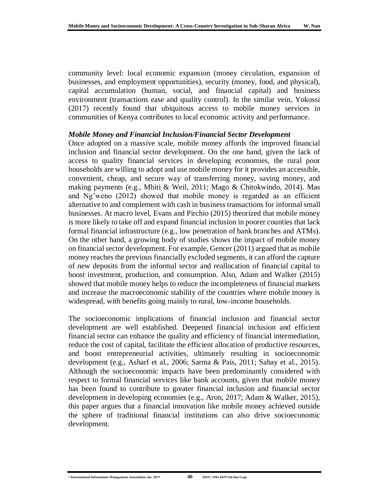community level: local economic expansion (money circulation, expansion of businesses, and employment opportunities), security (money, food, and physical), capital accumulation (human, social, and financial capital) and business environment (transactions ease and quality control). In the similar vein, Yokossi (2017) recently found that ubiquitous access to mobile money services in communities of Kenya contributes to local economic activity and performance.

#### *Mobile Money and Financial Inclusion/Financial Sector Development*

Once adopted on a massive scale, mobile money affords the improved financial inclusion and financial sector development. On the one hand, given the lack of access to quality financial services in developing economies, the rural poor households are willing to adopt and use mobile money for it provides an accessible, convenient, cheap, and secure way of transferring money, saving money, and making payments (e.g., Mbiti & Weil, 2011; Mago & Chitokwindo, 2014). Mas and Ng'weno (2012) showed that mobile money is regarded as an efficient alternative to and complement with cash in business transactions for informal small businesses. At macro level, Evans and Pirchio (2015) theorized that mobile money is more likely to take off and expand financial inclusion in poorer counties that lack formal financial infrastructure (e.g., low penetration of bank branches and ATMs). On the other hand, a growing body of studies shows the impact of mobile money on financial sector development. For example, Gencer (2011) argued that as mobile money reaches the previous financially excluded segments, it can afford the capture of new deposits from the informal sector and reallocation of financial capital to boost investment, production, and consumption. Also, Adam and Walker (2015) showed that mobile money helps to reduce the incompleteness of financial markets and increase the macroeconomic stability of the countries where mobile money is widespread, with benefits going mainly to rural, low-income households.

The socioeconomic implications of financial inclusion and financial sector development are well established. Deepened financial inclusion and efficient financial sector can enhance the quality and efficiency of financial intermediation, reduce the cost of capital, facilitate the efficient allocation of productive resources, and boost entrepreneurial activities, ultimately resulting in socioeconomic development (e.g., Asharf et al., 2006; Sarma & Pais, 2011; Sahay et al., 2015). Although the socioeconomic impacts have been predominantly considered with respect to formal financial services like bank accounts, given that mobile money has been found to contribute to greater financial inclusion and financial sector development in developing economies (e.g., Aron, 2017; Adam & Walker, 2015), this paper argues that a financial innovation like mobile money achieved outside the sphere of traditional financial institutions can also drive socioeconomic development.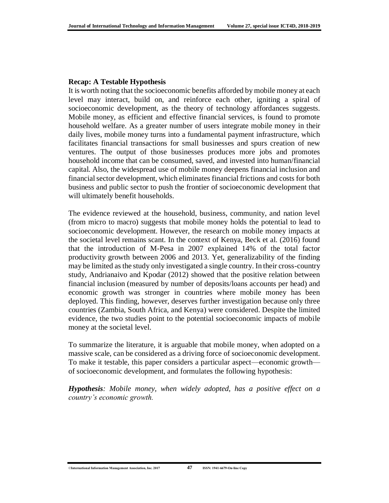#### **Recap: A Testable Hypothesis**

It is worth noting that the socioeconomic benefits afforded by mobile money at each level may interact, build on, and reinforce each other, igniting a spiral of socioeconomic development, as the theory of technology affordances suggests. Mobile money, as efficient and effective financial services, is found to promote household welfare. As a greater number of users integrate mobile money in their daily lives, mobile money turns into a fundamental payment infrastructure, which facilitates financial transactions for small businesses and spurs creation of new ventures. The output of those businesses produces more jobs and promotes household income that can be consumed, saved, and invested into human/financial capital. Also, the widespread use of mobile money deepens financial inclusion and financial sector development, which eliminates financial frictions and costs for both business and public sector to push the frontier of socioeconomic development that will ultimately benefit households.

The evidence reviewed at the household, business, community, and nation level (from micro to macro) suggests that mobile money holds the potential to lead to socioeconomic development. However, the research on mobile money impacts at the societal level remains scant. In the context of Kenya, Beck et al. (2016) found that the introduction of M-Pesa in 2007 explained 14% of the total factor productivity growth between 2006 and 2013. Yet, generalizability of the finding may be limited as the study only investigated a single country. In their cross-country study, Andrianaivo and Kpodar (2012) showed that the positive relation between financial inclusion (measured by number of deposits/loans accounts per head) and economic growth was stronger in countries where mobile money has been deployed. This finding, however, deserves further investigation because only three countries (Zambia, South Africa, and Kenya) were considered. Despite the limited evidence, the two studies point to the potential socioeconomic impacts of mobile money at the societal level.

To summarize the literature, it is arguable that mobile money, when adopted on a massive scale, can be considered as a driving force of socioeconomic development. To make it testable, this paper considers a particular aspect—economic growth of socioeconomic development, and formulates the following hypothesis:

*Hypothesis: Mobile money, when widely adopted, has a positive effect on a country's economic growth.*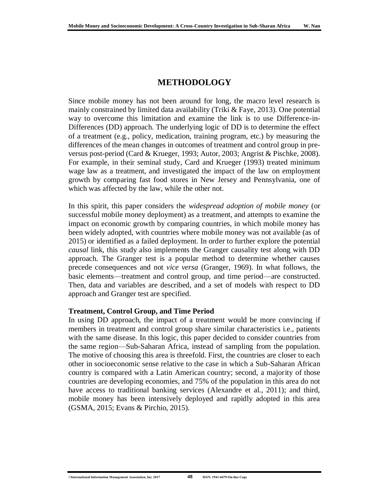## **METHODOLOGY**

Since mobile money has not been around for long, the macro level research is mainly constrained by limited data availability (Triki & Faye, 2013). One potential way to overcome this limitation and examine the link is to use Difference-in-Differences (DD) approach. The underlying logic of DD is to determine the effect of a treatment (e.g., policy, medication, training program, etc.) by measuring the differences of the mean changes in outcomes of treatment and control group in preversus post-period (Card & Krueger, 1993; Autor, 2003; Angrist & Pischke, 2008). For example, in their seminal study, Card and Krueger (1993) treated minimum wage law as a treatment, and investigated the impact of the law on employment growth by comparing fast food stores in New Jersey and Pennsylvania, one of which was affected by the law, while the other not.

In this spirit, this paper considers the *widespread adoption of mobile money* (or successful mobile money deployment) as a treatment, and attempts to examine the impact on economic growth by comparing countries, in which mobile money has been widely adopted, with countries where mobile money was not available (as of 2015) or identified as a failed deployment. In order to further explore the potential *causal* link, this study also implements the Granger causality test along with DD approach. The Granger test is a popular method to determine whether causes precede consequences and not *vice versa* (Granger, 1969). In what follows, the basic elements—treatment and control group, and time period—are constructed. Then, data and variables are described, and a set of models with respect to DD approach and Granger test are specified.

#### **Treatment, Control Group, and Time Period**

In using DD approach, the impact of a treatment would be more convincing if members in treatment and control group share similar characteristics i.e., patients with the same disease. In this logic, this paper decided to consider countries from the same region—Sub-Saharan Africa, instead of sampling from the population. The motive of choosing this area is threefold. First, the countries are closer to each other in socioeconomic sense relative to the case in which a Sub-Saharan African country is compared with a Latin American country; second, a majority of those countries are developing economies, and 75% of the population in this area do not have access to traditional banking services (Alexandre et al., 2011); and third, mobile money has been intensively deployed and rapidly adopted in this area (GSMA, 2015; Evans & Pirchio, 2015).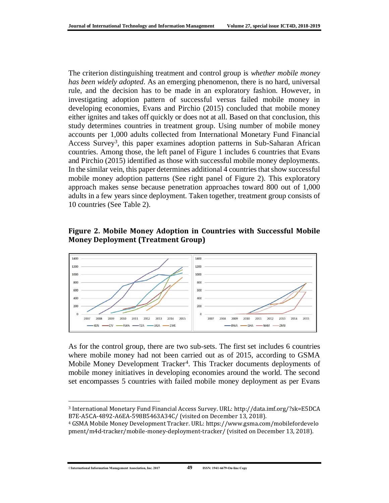The criterion distinguishing treatment and control group is *whether mobile money has been widely adopted*. As an emerging phenomenon, there is no hard, universal rule, and the decision has to be made in an exploratory fashion. However, in investigating adoption pattern of successful versus failed mobile money in developing economies, Evans and Pirchio (2015) concluded that mobile money either ignites and takes off quickly or does not at all. Based on that conclusion, this study determines countries in treatment group. Using number of mobile money accounts per 1,000 adults collected from International Monetary Fund Financial Access Survey<sup>3</sup>, this paper examines adoption patterns in Sub-Saharan African countries. Among those, the left panel of Figure 1 includes 6 countries that Evans and Pirchio (2015) identified as those with successful mobile money deployments. In the similar vein, this paper determines additional 4 countries that show successful mobile money adoption patterns (See right panel of Figure 2). This exploratory approach makes sense because penetration approaches toward 800 out of 1,000 adults in a few years since deployment. Taken together, treatment group consists of 10 countries (See Table 2).

### **Figure 2. Mobile Money Adoption in Countries with Successful Mobile Money Deployment (Treatment Group)**



As for the control group, there are two sub-sets. The first set includes 6 countries where mobile money had not been carried out as of 2015, according to GSMA Mobile Money Development Tracker<sup>4</sup>. This Tracker documents deployments of mobile money initiatives in developing economies around the world. The second set encompasses 5 countries with failed mobile money deployment as per Evans

 $\overline{\phantom{a}}$ 

<sup>3</sup> International Monetary Fund Financial Access Survey. URL[: http://data.imf.org/?sk=E5DCA](http://data.imf.org/?sk=E5DCAB7E-A5CA-4892-A6EA-598B5463A34C/) [B7E-A5CA-4892-A6EA-598B5463A34C/](http://data.imf.org/?sk=E5DCAB7E-A5CA-4892-A6EA-598B5463A34C/) (visited on December 13, 2018).

<sup>4</sup> GSMA Mobile Money Development Tracker. URL: [https://www.gsma.com/mobilefordevelo](https://www.gsma.com/mobilefordevelopment/m4d-tracker/mobile-money-deployment-tracker/) [pment/m4d-tracker/mobile-money-deployment-tracker/](https://www.gsma.com/mobilefordevelopment/m4d-tracker/mobile-money-deployment-tracker/) (visited on December 13, 2018).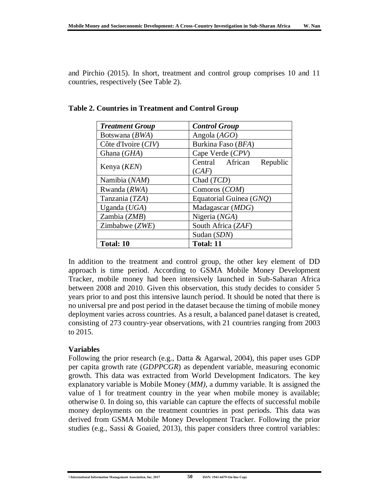and Pirchio (2015). In short, treatment and control group comprises 10 and 11 countries, respectively (See Table 2).

| <b>Treatment Group</b> | <b>Control Group</b>        |  |  |  |  |
|------------------------|-----------------------------|--|--|--|--|
| Botswana (BWA)         | Angola $(AGO)$              |  |  |  |  |
| Côte d'Ivoire (CIV)    | Burkina Faso (BFA)          |  |  |  |  |
| Ghana (GHA)            | Cape Verde (CPV)            |  |  |  |  |
|                        | Central African<br>Republic |  |  |  |  |
| Kenya ( <i>KEN</i> )   | (CAF)                       |  |  |  |  |
| Namibia (NAM)          | Chad $(TCD)$                |  |  |  |  |
| Rwanda (RWA)           | Comoros (COM)               |  |  |  |  |
| Tanzania (TZA)         | Equatorial Guinea (GNQ)     |  |  |  |  |
| Uganda $(UGA)$         | Madagascar $(MDG)$          |  |  |  |  |
| Zambia (ZMB)           | Nigeria (NGA)               |  |  |  |  |
| Zimbabwe (ZWE)         | South Africa (ZAF)          |  |  |  |  |
|                        | Sudan (SDN)                 |  |  |  |  |
| <b>Total: 10</b>       | <b>Total: 11</b>            |  |  |  |  |

**Table 2. Countries in Treatment and Control Group**

In addition to the treatment and control group, the other key element of DD approach is time period. According to GSMA Mobile Money Development Tracker, mobile money had been intensively launched in Sub-Saharan Africa between 2008 and 2010. Given this observation, this study decides to consider 5 years prior to and post this intensive launch period. It should be noted that there is no universal pre and post period in the dataset because the timing of mobile money deployment varies across countries. As a result, a balanced panel dataset is created, consisting of 273 country-year observations, with 21 countries ranging from 2003 to 2015.

#### **Variables**

Following the prior research (e.g., Datta & Agarwal, 2004), this paper uses GDP per capita growth rate (*GDPPCGR*) as dependent variable, measuring economic growth. This data was extracted from World Development Indicators. The key explanatory variable is Mobile Money (*MM)*, a dummy variable. It is assigned the value of 1 for treatment country in the year when mobile money is available; otherwise 0. In doing so, this variable can capture the effects of successful mobile money deployments on the treatment countries in post periods. This data was derived from GSMA Mobile Money Development Tracker. Following the prior studies (e.g., Sassi & Goaied, 2013), this paper considers three control variables: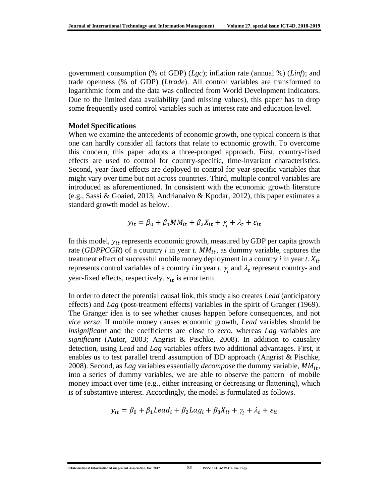government consumption (% of GDP) (*Lgc*); inflation rate (annual %) (*Linf*); and trade openness (% of GDP) (*Ltrade*). All control variables are transformed to logarithmic form and the data was collected from World Development Indicators. Due to the limited data availability (and missing values), this paper has to drop some frequently used control variables such as interest rate and education level.

#### **Model Specifications**

When we examine the antecedents of economic growth, one typical concern is that one can hardly consider all factors that relate to economic growth. To overcome this concern, this paper adopts a three-pronged approach. First, country-fixed effects are used to control for country-specific, time-invariant characteristics. Second, year-fixed effects are deployed to control for year-specific variables that might vary over time but not across countries. Third, multiple control variables are introduced as aforementioned. In consistent with the economic growth literature (e.g., Sassi & Goaied, 2013; Andrianaivo & Kpodar, 2012), this paper estimates a standard growth model as below.

$$
y_{it} = \beta_0 + \beta_1 MM_{it} + \beta_2 X_{it} + \gamma_i + \lambda_t + \varepsilon_{it}
$$

In this model,  $y_{it}$  represents economic growth, measured by GDP per capita growth rate (*GDPPCGR*) of a country *i* in year *t*.  $MM_{it}$ , as dummy variable, captures the treatment effect of successful mobile money deployment in a country  $i$  in year  $t$ .  $X_{it}$ represents control variables of a country *i* in year *t*.  $\gamma$  and  $\lambda$ <sub>*t*</sub> represent country- and year-fixed effects, respectively.  $\varepsilon_{it}$  is error term.

In order to detect the potential causal link, this study also creates *Lead* (anticipatory effects) and *Lag* (post-treatment effects) variables in the spirit of Granger (1969). The Granger idea is to see whether causes happen before consequences, and not *vice versa*. If mobile money causes economic growth, *Lead* variables should be *insignificant* and the coefficients are close to *zero*, whereas *Lag* variables are *significant* (Autor, 2003; Angrist & Pischke, 2008). In addition to causality detection, using *Lead* and *Lag* variables offers two additional advantages. First, it enables us to test parallel trend assumption of DD approach (Angrist & Pischke, 2008). Second, as *Lag* variables essentially *decompose* the dummy variable,  $MM_{it}$ , into a series of dummy variables, we are able to observe the pattern of mobile money impact over time (e.g., either increasing or decreasing or flattening), which is of substantive interest. Accordingly, the model is formulated as follows.

$$
y_{it} = \beta_0 + \beta_1 Lead_i + \beta_2 Lag_i + \beta_3 X_{it} + \gamma_i + \lambda_t + \varepsilon_{it}
$$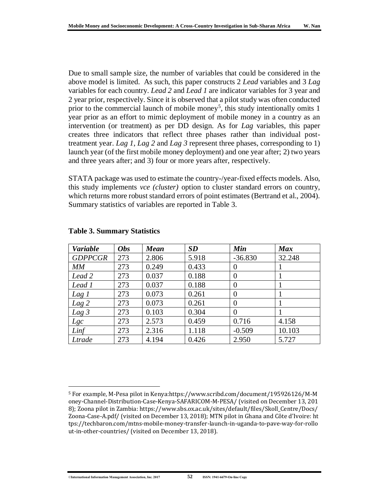Due to small sample size, the number of variables that could be considered in the above model is limited. As such, this paper constructs 2 *Lead* variables and 3 *Lag* variables for each country. *Lead 2* and *Lead 1* are indicator variables for 3 year and 2 year prior, respectively. Since it is observed that a pilot study was often conducted prior to the commercial launch of mobile money<sup>5</sup>, this study intentionally omits 1 year prior as an effort to mimic deployment of mobile money in a country as an intervention (or treatment) as per DD design. As for *Lag* variables, this paper creates three indicators that reflect three phases rather than individual posttreatment year. *Lag 1*, *Lag 2* and *Lag 3* represent three phases, corresponding to 1) launch year (of the first mobile money deployment) and one year after; 2) two years and three years after; and 3) four or more years after, respectively.

STATA package was used to estimate the country-/year-fixed effects models. Also, this study implements *vce (cluster)* option to cluster standard errors on country, which returns more robust standard errors of point estimates (Bertrand et al., 2004). Summary statistics of variables are reported in Table 3.

| <b>Variable</b>  | <b>Obs</b> | <b>Mean</b> | SD    | Min            | <b>Max</b> |
|------------------|------------|-------------|-------|----------------|------------|
| <b>GDPPCGR</b>   | 273        | 2.806       | 5.918 | $-36.830$      | 32.248     |
| MM               | 273        | 0.249       | 0.433 | $\overline{0}$ |            |
| Lead 2           | 273        | 0.037       | 0.188 | $\overline{0}$ |            |
| Lead 1           | 273        | 0.037       | 0.188 | $\overline{0}$ |            |
| Lag 1            | 273        | 0.073       | 0.261 | $\overline{0}$ |            |
| $Lag$ 2          | 273        | 0.073       | 0.261 | $\theta$       |            |
| Lag <sub>3</sub> | 273        | 0.103       | 0.304 | $\overline{0}$ |            |
| Lgc              | 273        | 2.573       | 0.459 | 0.716          | 4.158      |
| Linf             | 273        | 2.316       | 1.118 | $-0.509$       | 10.103     |
| Ltrade           | 273        | 4.194       | 0.426 | 2.950          | 5.727      |

#### **Table 3. Summary Statistics**

l

<sup>5</sup> For example, M-Pesa pilot in Kenya[:https://www.scribd.com/document/195926126/M-M](https://www.scribd.com/document/195926126/M-Money-Channel-Distribution-Case-Kenya-SAFARICOM-M-PESA/) [oney-Channel-Distribution-Case-Kenya-SAFARICOM-M-PESA/](https://www.scribd.com/document/195926126/M-Money-Channel-Distribution-Case-Kenya-SAFARICOM-M-PESA/) (visited on December 13, 201 8); Zoona pilot in Zambia[: https://www.sbs.ox.ac.uk/sites/default/files/Skoll\\_Centre/Docs/](https://www.sbs.ox.ac.uk/sites/default/files/Skoll_Centre/Docs/Zoona-Case-A.pdf/) [Zoona-Case-A.pdf/](https://www.sbs.ox.ac.uk/sites/default/files/Skoll_Centre/Docs/Zoona-Case-A.pdf/) (visited on December 13, 2018); MTN pilot in Ghana and Côte d'Ivoire[: ht](https://techbaron.com/mtns-mobile-money-transfer-launch-in-uganda-to-pave-way-for-rollout-in-other-countries/) [tps://techbaron.com/mtns-mobile-money-transfer-launch-in-uganda-to-pave-way-for-rollo](https://techbaron.com/mtns-mobile-money-transfer-launch-in-uganda-to-pave-way-for-rollout-in-other-countries/) [ut-in-other-countries/](https://techbaron.com/mtns-mobile-money-transfer-launch-in-uganda-to-pave-way-for-rollout-in-other-countries/) (visited on December 13, 2018).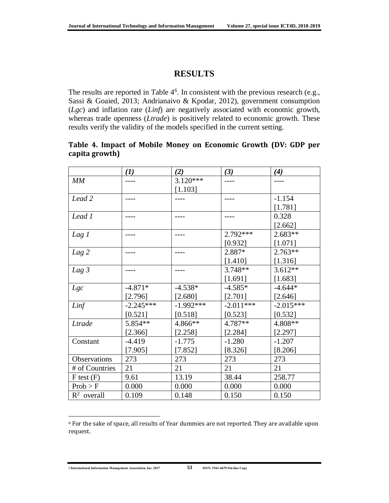## **RESULTS**

The results are reported in Table  $4<sup>6</sup>$ . In consistent with the previous research (e.g., Sassi & Goaied, 2013; Andrianaivo & Kpodar, 2012), government consumption (*Lgc*) and inflation rate (*Linf*) are negatively associated with economic growth, whereas trade openness (*Ltrade*) is positively related to economic growth. These results verify the validity of the models specified in the current setting.

### **Table 4. Impact of Mobile Money on Economic Growth (DV: GDP per capita growth)**

|                  | (1)         | (2)         | (3)         | (4)         |
|------------------|-------------|-------------|-------------|-------------|
| MM               |             | $3.120***$  |             |             |
|                  |             | [1.103]     |             |             |
| Lead 2           |             |             |             | $-1.154$    |
|                  |             |             |             | [1.781]     |
| Lead 1           |             |             |             | 0.328       |
|                  |             |             |             | $[2.662]$   |
| Lag 1            |             |             | 2.792***    | $2.683**$   |
|                  |             |             | [0.932]     | [1.071]     |
| Lag 2            |             |             | 2.887*      | $2.763**$   |
|                  |             |             | [1.410]     | [1.316]     |
| Lag <sub>3</sub> |             |             | $3.748**$   | $3.612**$   |
|                  |             |             | [1.691]     | [1.683]     |
| Lgc              | $-4.871*$   | $-4.538*$   | $-4.585*$   | $-4.644*$   |
|                  | [2.796]     | [2.680]     | [2.701]     | [2.646]     |
| Linf             | $-2.245***$ | $-1.992***$ | $-2.011***$ | $-2.015***$ |
|                  | [0.521]     | [0.518]     | [0.523]     | [0.532]     |
| Ltrade           | 5.854**     | 4.866**     | 4.787**     | 4.808**     |
|                  | [2.366]     | [2.258]     | [2.284]     | [2.297]     |
| Constant         | $-4.419$    | $-1.775$    | $-1.280$    | $-1.207$    |
|                  | [7.905]     | [7.852]     | [8.326]     | [8.206]     |
| Observations     | 273         | 273         | 273         | 273         |
| # of Countries   | 21          | 21          | 21          | 21          |
| $F$ test $(F)$   | 9.61        | 13.19       | 38.44       | 258.77      |
| Prob > F         | 0.000       | 0.000       | 0.000       | 0.000       |
| $R^2$ overall    | 0.109       | 0.148       | 0.150       | 0.150       |

<sup>6</sup> For the sake of space, all results of Year dummies are not reported. They are available upon request.

 $\overline{\phantom{a}}$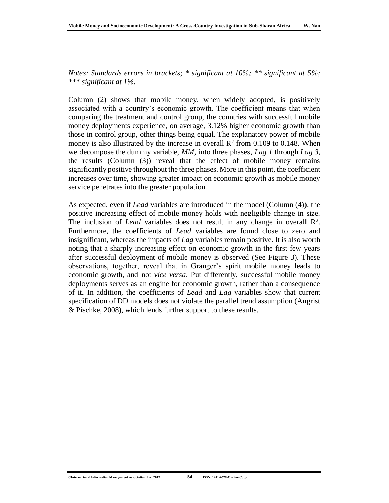*Notes: Standards errors in brackets; \* significant at 10%; \*\* significant at 5%; \*\*\* significant at 1%.*

Column (2) shows that mobile money, when widely adopted, is positively associated with a country's economic growth. The coefficient means that when comparing the treatment and control group, the countries with successful mobile money deployments experience, on average, 3.12% higher economic growth than those in control group, other things being equal. The explanatory power of mobile money is also illustrated by the increase in overall  $\mathbb{R}^2$  from 0.109 to 0.148. When we decompose the dummy variable, *MM*, into three phases, *Lag 1* through *Lag 3*, the results (Column (3)) reveal that the effect of mobile money remains significantly positive throughout the three phases. More in this point, the coefficient increases over time, showing greater impact on economic growth as mobile money service penetrates into the greater population.

As expected, even if *Lead* variables are introduced in the model (Column (4)), the positive increasing effect of mobile money holds with negligible change in size. The inclusion of *Lead* variables does not result in any change in overall  $\mathbb{R}^2$ . Furthermore, the coefficients of *Lead* variables are found close to zero and insignificant, whereas the impacts of *Lag* variables remain positive. It is also worth noting that a sharply increasing effect on economic growth in the first few years after successful deployment of mobile money is observed (See Figure 3). These observations, together, reveal that in Granger's spirit mobile money leads to economic growth, and not *vice versa*. Put differently, successful mobile money deployments serves as an engine for economic growth, rather than a consequence of it. In addition, the coefficients of *Lead* and *Lag* variables show that current specification of DD models does not violate the parallel trend assumption (Angrist & Pischke, 2008), which lends further support to these results.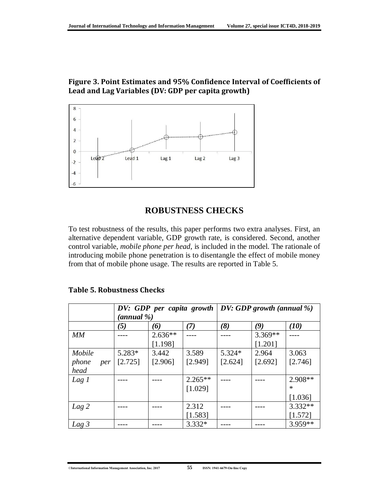## **Figure 3. Point Estimates and 95% Confidence Interval of Coefficients of Lead and Lag Variables (DV: GDP per capita growth)**



## **ROBUSTNESS CHECKS**

To test robustness of the results, this paper performs two extra analyses. First, an alternative dependent variable, GDP growth rate, is considered. Second, another control variable, *mobile phone per head*, is included in the model. The rationale of introducing mobile phone penetration is to disentangle the effect of mobile money from that of mobile phone usage. The results are reported in Table 5.

|                  | DV: GDP per capita growth<br>(annual %) |           |           | $\vert D V: GDP$ growth (annual %) |         |           |
|------------------|-----------------------------------------|-----------|-----------|------------------------------------|---------|-----------|
|                  | (5)                                     | (6)       | (7)       | (8)                                | (9)     | (10)      |
| MМ               |                                         | $2.636**$ |           |                                    | 3.369** |           |
|                  |                                         | [1.198]   |           |                                    | [1.201] |           |
| Mobile           | 5.283*                                  | 3.442     | 3.589     | 5.324*                             | 2.964   | 3.063     |
| phone<br>per     | [2.725]                                 | [2.906]   | [2.949]   | [2.624]                            | [2.692] | [2.746]   |
| head             |                                         |           |           |                                    |         |           |
| Lag 1            |                                         |           | $2.265**$ |                                    |         | 2.908**   |
|                  |                                         |           | [1.029]   |                                    |         | $\ast$    |
|                  |                                         |           |           |                                    |         | [1.036]   |
| $Lag$ 2          |                                         |           | 2.312     |                                    |         | $3.332**$ |
|                  |                                         |           | [1.583]   |                                    |         | [1.572]   |
| Lag <sub>3</sub> |                                         |           | 3.332*    |                                    |         | 3.959**   |

#### **Table 5. Robustness Checks**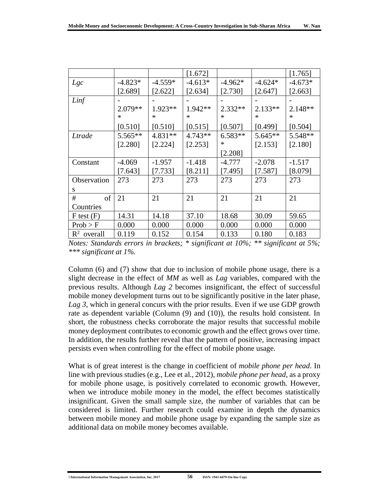|                        |           |           | [1.672]   |           |           | [1.765]   |
|------------------------|-----------|-----------|-----------|-----------|-----------|-----------|
| Lgc                    | $-4.823*$ | $-4.559*$ | $-4.613*$ | $-4.962*$ | $-4.624*$ | $-4.673*$ |
|                        | [2.689]   | [2.622]   | [2.634]   | [2.730]   | [2.647]   | [2.663]   |
| Linf                   |           |           |           |           |           |           |
|                        | $2.079**$ | $1.923**$ | $1.942**$ | $2.332**$ | $2.133**$ | $2.148**$ |
|                        | ∗         | $\ast$    | $\ast$    | ∗         | ∗         | ∗         |
|                        | [0.510]   | [0.510]   | [0.515]   | [0.507]   | [0.499]   | [0.504]   |
| Ltrade                 | $5.565**$ | $4.831**$ | $4.743**$ | $6.583**$ | $5.645**$ | $5.548**$ |
|                        | [2.280]   | [2.224]   | [2.253]   | $\ast$    | [2.153]   | [2.180]   |
|                        |           |           |           | [2.208]   |           |           |
| Constant               | $-4.069$  | $-1.957$  | $-1.418$  | $-4.777$  | $-2.078$  | $-1.517$  |
|                        | [7.643]   | [7.733]   | [8.211]   | [7.495]   | [7.587]   | [8.079]   |
| <b>Observation</b>     | 273       | 273       | 273       | 273       | 273       | 273       |
| S                      |           |           |           |           |           |           |
| #<br>of                | 21        | 21        | 21        | 21        | 21        | 21        |
| Countries              |           |           |           |           |           |           |
| $F$ test $(F)$         | 14.31     | 14.18     | 37.10     | 18.68     | 30.09     | 59.65     |
| Prob > F               | 0.000     | 0.000     | 0.000     | 0.000     | 0.000     | 0.000     |
| $\mathbb{R}^2$ overall | 0.119     | 0.152     | 0.154     | 0.133     | 0.180     | 0.183     |

*Notes: Standards errors in brackets; \* significant at 10%; \*\* significant at 5%; \*\*\* significant at 1%.*

Column (6) and (7) show that due to inclusion of mobile phone usage, there is a slight decrease in the effect of *MM* as well as *Lag* variables, compared with the previous results. Although *Lag 2* becomes insignificant, the effect of successful mobile money development turns out to be significantly positive in the later phase, *Lag 3*, which in general concurs with the prior results. Even if we use GDP growth rate as dependent variable (Column (9) and (10)), the results hold consistent. In short, the robustness checks corroborate the major results that successful mobile money deployment contributes to economic growth and the effect grows over time. In addition, the results further reveal that the pattern of positive, increasing impact persists even when controlling for the effect of mobile phone usage.

What is of great interest is the change in coefficient of *mobile phone per head*. In line with previous studies (e.g., Lee et al., 2012), *mobile phone per head*, as a proxy for mobile phone usage, is positively correlated to economic growth. However, when we introduce mobile money in the model, the effect becomes statistically insignificant. Given the small sample size, the number of variables that can be considered is limited. Further research could examine in depth the dynamics between mobile money and mobile phone usage by expanding the sample size as additional data on mobile money becomes available.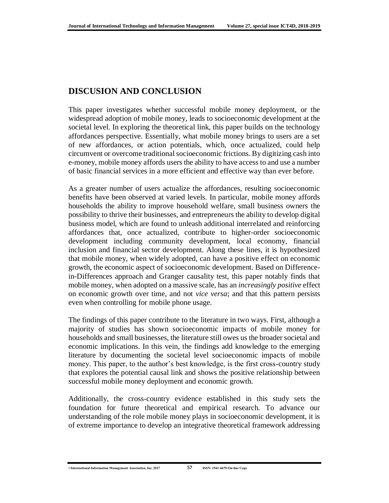## **DISCUSION AND CONCLUSION**

This paper investigates whether successful mobile money deployment, or the widespread adoption of mobile money, leads to socioeconomic development at the societal level. In exploring the theoretical link, this paper builds on the technology affordances perspective. Essentially, what mobile money brings to users are a set of new affordances, or action potentials, which, once actualized, could help circumvent or overcome traditional socioeconomic frictions. By digitizing cash into e-money, mobile money affords users the ability to have access to and use a number of basic financial services in a more efficient and effective way than ever before.

As a greater number of users actualize the affordances, resulting socioeconomic benefits have been observed at varied levels. In particular, mobile money affords households the ability to improve household welfare, small business owners the possibility to thrive their businesses, and entrepreneurs the ability to develop digital business model, which are found to unleash additional interrelated and reinforcing affordances that, once actualized, contribute to higher-order socioeconomic development including community development, local economy, financial inclusion and financial sector development. Along these lines, it is hypothesized that mobile money, when widely adopted, can have a positive effect on economic growth, the economic aspect of socioeconomic development. Based on Differencein-Differences approach and Granger causality test, this paper notably finds that mobile money, when adopted on a massive scale, has an *increasingly positive* effect on economic growth over time, and not *vice versa*; and that this pattern persists even when controlling for mobile phone usage.

The findings of this paper contribute to the literature in two ways. First, although a majority of studies has shown socioeconomic impacts of mobile money for households and small businesses, the literature still owes us the broader societal and economic implications. In this vein, the findings add knowledge to the emerging literature by documenting the societal level socioeconomic impacts of mobile money. This paper, to the author's best knowledge, is the first cross-country study that explores the potential causal link and shows the positive relationship between successful mobile money deployment and economic growth.

Additionally, the cross-country evidence established in this study sets the foundation for future theoretical and empirical research. To advance our understanding of the role mobile money plays in socioeconomic development, it is of extreme importance to develop an integrative theoretical framework addressing

<sup>©</sup>**International Information Management Association, Inc. 2017 57 ISSN: 1941-6679-On-line Copy**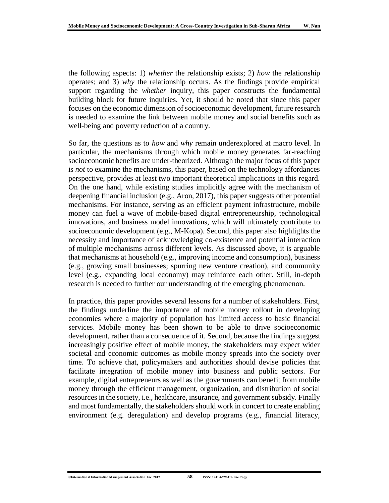the following aspects: 1) *whether* the relationship exists; 2) *how* the relationship operates; and 3) *why* the relationship occurs. As the findings provide empirical support regarding the *whether* inquiry, this paper constructs the fundamental building block for future inquiries. Yet, it should be noted that since this paper focuses on the economic dimension of socioeconomic development, future research is needed to examine the link between mobile money and social benefits such as well-being and poverty reduction of a country.

So far, the questions as to *how* and *why* remain underexplored at macro level. In particular, the mechanisms through which mobile money generates far-reaching socioeconomic benefits are under-theorized. Although the major focus of this paper is *not* to examine the mechanisms, this paper, based on the technology affordances perspective, provides at least two important theoretical implications in this regard. On the one hand, while existing studies implicitly agree with the mechanism of deepening financial inclusion (e.g., Aron, 2017), this paper suggests other potential mechanisms. For instance, serving as an efficient payment infrastructure, mobile money can fuel a wave of mobile-based digital entrepreneurship, technological innovations, and business model innovations, which will ultimately contribute to socioeconomic development (e.g., M-Kopa). Second, this paper also highlights the necessity and importance of acknowledging co-existence and potential interaction of multiple mechanisms across different levels. As discussed above, it is arguable that mechanisms at household (e.g., improving income and consumption), business (e.g., growing small businesses; spurring new venture creation), and community level (e.g., expanding local economy) may reinforce each other. Still, in-depth research is needed to further our understanding of the emerging phenomenon.

In practice, this paper provides several lessons for a number of stakeholders. First, the findings underline the importance of mobile money rollout in developing economies where a majority of population has limited access to basic financial services. Mobile money has been shown to be able to drive socioeconomic development, rather than a consequence of it. Second, because the findings suggest increasingly positive effect of mobile money, the stakeholders may expect wider societal and economic outcomes as mobile money spreads into the society over time. To achieve that, policymakers and authorities should devise policies that facilitate integration of mobile money into business and public sectors. For example, digital entrepreneurs as well as the governments can benefit from mobile money through the efficient management, organization, and distribution of social resources in the society, i.e., healthcare, insurance, and government subsidy. Finally and most fundamentally, the stakeholders should work in concert to create enabling environment (e.g. deregulation) and develop programs (e.g., financial literacy,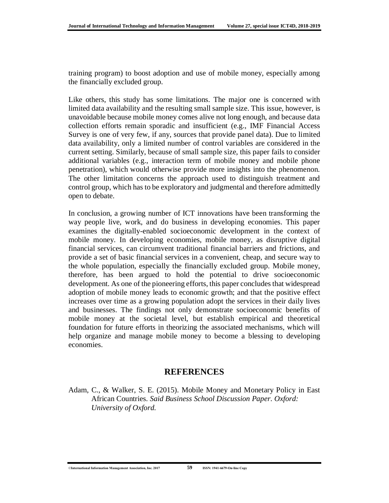training program) to boost adoption and use of mobile money, especially among the financially excluded group.

Like others, this study has some limitations. The major one is concerned with limited data availability and the resulting small sample size. This issue, however, is unavoidable because mobile money comes alive not long enough, and because data collection efforts remain sporadic and insufficient (e.g., IMF Financial Access Survey is one of very few, if any, sources that provide panel data). Due to limited data availability, only a limited number of control variables are considered in the current setting. Similarly, because of small sample size, this paper fails to consider additional variables (e.g., interaction term of mobile money and mobile phone penetration), which would otherwise provide more insights into the phenomenon. The other limitation concerns the approach used to distinguish treatment and control group, which has to be exploratory and judgmental and therefore admittedly open to debate.

In conclusion, a growing number of ICT innovations have been transforming the way people live, work, and do business in developing economies. This paper examines the digitally-enabled socioeconomic development in the context of mobile money. In developing economies, mobile money, as disruptive digital financial services, can circumvent traditional financial barriers and frictions, and provide a set of basic financial services in a convenient, cheap, and secure way to the whole population, especially the financially excluded group. Mobile money, therefore, has been argued to hold the potential to drive socioeconomic development. As one of the pioneering efforts, this paper concludes that widespread adoption of mobile money leads to economic growth; and that the positive effect increases over time as a growing population adopt the services in their daily lives and businesses. The findings not only demonstrate socioeconomic benefits of mobile money at the societal level, but establish empirical and theoretical foundation for future efforts in theorizing the associated mechanisms, which will help organize and manage mobile money to become a blessing to developing economies.

## **REFERENCES**

Adam, C., & Walker, S. E. (2015). Mobile Money and Monetary Policy in East African Countries. *Said Business School Discussion Paper. Oxford: University of Oxford.*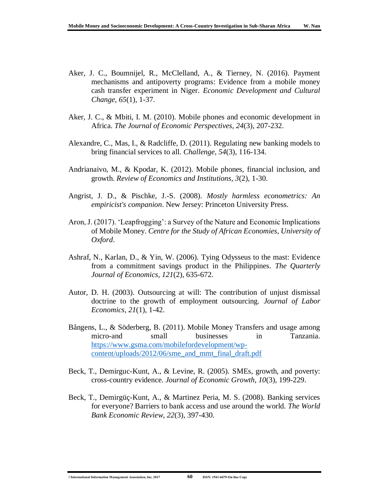- Aker, J. C., Boumnijel, R., McClelland, A., & Tierney, N. (2016). Payment mechanisms and antipoverty programs: Evidence from a mobile money cash transfer experiment in Niger. *Economic Development and Cultural Change, 65*(1), 1-37.
- Aker, J. C., & Mbiti, I. M. (2010). Mobile phones and economic development in Africa. *The Journal of Economic Perspectives, 24*(3), 207-232.
- Alexandre, C., Mas, I., & Radcliffe, D. (2011). Regulating new banking models to bring financial services to all. *Challenge, 54*(3), 116-134.
- Andrianaivo, M., & Kpodar, K. (2012). Mobile phones, financial inclusion, and growth. *Review of Economics and Institutions, 3*(2), 1-30.
- Angrist, J. D., & Pischke, J.-S. (2008). *Mostly harmless econometrics: An empiricist's companion*. New Jersey: Princeton University Press.
- Aron, J. (2017). 'Leapfrogging': a Survey of the Nature and Economic Implications of Mobile Money. *Centre for the Study of African Economies, University of Oxford*.
- Ashraf, N., Karlan, D., & Yin, W. (2006). Tying Odysseus to the mast: Evidence from a commitment savings product in the Philippines. *The Quarterly Journal of Economics, 121*(2), 635-672.
- Autor, D. H. (2003). Outsourcing at will: The contribution of unjust dismissal doctrine to the growth of employment outsourcing. *Journal of Labor Economics, 21*(1), 1-42.
- Bångens, L., & Söderberg, B. (2011). Mobile Money Transfers and usage among micro-and small businesses in Tanzania. [https://www.gsma.com/mobilefordevelopment/wp](https://www.gsma.com/mobilefordevelopment/wp-content/uploads/2012/06/sme_and_mmt_final_draft.pdf)[content/uploads/2012/06/sme\\_and\\_mmt\\_final\\_draft.pdf](https://www.gsma.com/mobilefordevelopment/wp-content/uploads/2012/06/sme_and_mmt_final_draft.pdf)
- Beck, T., Demirguc-Kunt, A., & Levine, R. (2005). SMEs, growth, and poverty: cross-country evidence. *Journal of Economic Growth, 10*(3), 199-229.
- Beck, T., Demirgüç-Kunt, A., & Martinez Peria, M. S. (2008). Banking services for everyone? Barriers to bank access and use around the world. *The World Bank Economic Review, 22*(3), 397-430.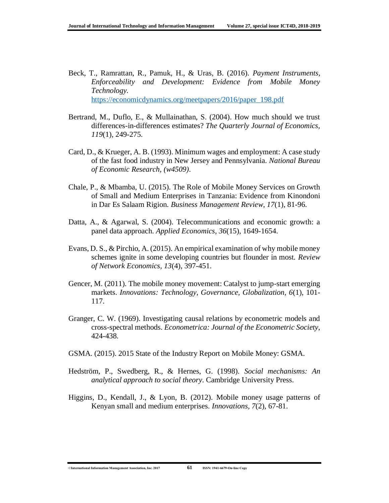- Beck, T., Ramrattan, R., Pamuk, H., & Uras, B. (2016). *Payment Instruments, Enforceability and Development: Evidence from Mobile Money Technology.* [https://economicdynamics.org/meetpapers/2016/paper\\_198.pdf](https://economicdynamics.org/meetpapers/2016/paper_198.pdf)
- Bertrand, M., Duflo, E., & Mullainathan, S. (2004). How much should we trust differences-in-differences estimates? *The Quarterly Journal of Economics, 119*(1), 249-275.
- Card, D., & Krueger, A. B. (1993). Minimum wages and employment: A case study of the fast food industry in New Jersey and Pennsylvania. *National Bureau of Economic Research, (w4509)*.
- Chale, P., & Mbamba, U. (2015). The Role of Mobile Money Services on Growth of Small and Medium Enterprises in Tanzania: Evidence from Kinondoni in Dar Es Salaam Rigion. *Business Management Review, 17*(1), 81-96.
- Datta, A., & Agarwal, S. (2004). Telecommunications and economic growth: a panel data approach. *Applied Economics, 36*(15), 1649-1654.
- Evans, D. S., & Pirchio, A. (2015). An empirical examination of why mobile money schemes ignite in some developing countries but flounder in most. *Review of Network Economics, 13*(4), 397-451.
- Gencer, M. (2011). The mobile money movement: Catalyst to jump-start emerging markets. *Innovations: Technology, Governance, Globalization, 6*(1), 101- 117.
- Granger, C. W. (1969). Investigating causal relations by econometric models and cross-spectral methods. *Econometrica: Journal of the Econometric Society*, 424-438.
- GSMA. (2015). 2015 State of the Industry Report on Mobile Money: GSMA.
- Hedström, P., Swedberg, R., & Hernes, G. (1998). *Social mechanisms: An analytical approach to social theory*. Cambridge University Press.
- Higgins, D., Kendall, J., & Lyon, B. (2012). Mobile money usage patterns of Kenyan small and medium enterprises. *Innovations, 7*(2), 67-81.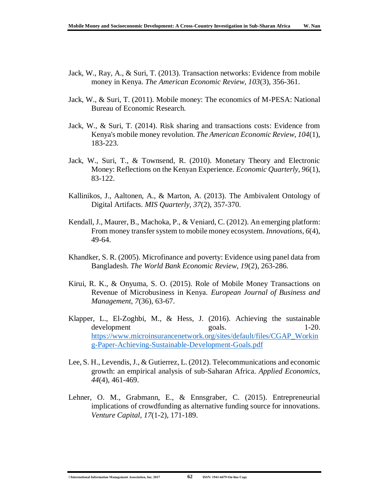- Jack, W., Ray, A., & Suri, T. (2013). Transaction networks: Evidence from mobile money in Kenya. *The American Economic Review, 103*(3), 356-361.
- Jack, W., & Suri, T. (2011). Mobile money: The economics of M-PESA: National Bureau of Economic Research.
- Jack, W., & Suri, T. (2014). Risk sharing and transactions costs: Evidence from Kenya's mobile money revolution. *The American Economic Review, 104*(1), 183-223.
- Jack, W., Suri, T., & Townsend, R. (2010). Monetary Theory and Electronic Money: Reflections on the Kenyan Experience. *Economic Quarterly, 96*(1), 83-122.
- Kallinikos, J., Aaltonen, A., & Marton, A. (2013). The Ambivalent Ontology of Digital Artifacts. *MIS Quarterly, 37*(2), 357-370.
- Kendall, J., Maurer, B., Machoka, P., & Veniard, C. (2012). An emerging platform: From money transfer system to mobile money ecosystem. *Innovations, 6*(4), 49-64.
- Khandker, S. R. (2005). Microfinance and poverty: Evidence using panel data from Bangladesh. *The World Bank Economic Review, 19*(2), 263-286.
- Kirui, R. K., & Onyuma, S. O. (2015). Role of Mobile Money Transactions on Revenue of Microbusiness in Kenya. *European Journal of Business and Management, 7*(36), 63-67.
- Klapper, L., El-Zoghbi, M., & Hess, J. (2016). Achieving the sustainable development goals. 1-20. [https://www.microinsurancenetwork.org/sites/default/files/CGAP\\_Workin](https://www.microinsurancenetwork.org/sites/default/files/CGAP_Working-Paper-Achieving-Sustainable-Development-Goals.pdf) [g-Paper-Achieving-Sustainable-Development-Goals.pdf](https://www.microinsurancenetwork.org/sites/default/files/CGAP_Working-Paper-Achieving-Sustainable-Development-Goals.pdf)
- Lee, S. H., Levendis, J., & Gutierrez, L. (2012). Telecommunications and economic growth: an empirical analysis of sub-Saharan Africa. *Applied Economics, 44*(4), 461-469.
- Lehner, O. M., Grabmann, E., & Ennsgraber, C. (2015). Entrepreneurial implications of crowdfunding as alternative funding source for innovations. *Venture Capital, 17*(1-2), 171-189.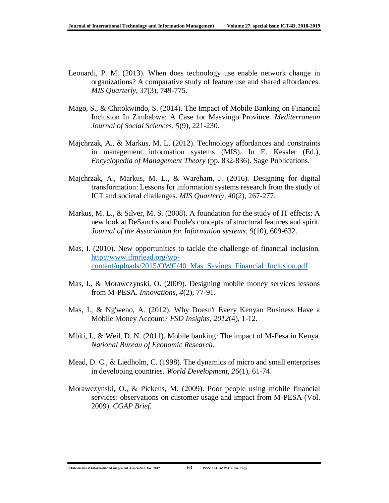- Leonardi, P. M. (2013). When does technology use enable network change in organizations? A comparative study of feature use and shared affordances. *MIS Quarterly, 37*(3), 749-775.
- Mago, S., & Chitokwindo, S. (2014). The Impact of Mobile Banking on Financial Inclusion In Zimbabwe: A Case for Masvingo Province. *Mediterranean Journal of Social Sciences, 5*(9), 221-230.
- Majchrzak, A., & Markus, M. L. (2012). Technology affordances and constraints in management information systems (MIS). In E. Kessler (Ed.), *Encyclopedia of Management Theory* (pp. 832-836). Sage Publications.
- Majchrzak, A., Markus, M. L., & Wareham, J. (2016). Designing for digital transformation: Lessons for information systems research from the study of ICT and societal challenges. *MIS Quarterly, 40*(2), 267-277.
- Markus, M. L., & Silver, M. S. (2008). A foundation for the study of IT effects: A new look at DeSanctis and Poole's concepts of structural features and spirit. *Journal of the Association for Information systems, 9*(10), 609-632.
- Mas, I. (2010). New opportunities to tackle the challenge of financial inclusion. [http://www.ifmrlead.org/wp](http://www.ifmrlead.org/wp-content/uploads/2015/OWC/40_Mas_Savings_Financial_Inclusion.pdf)[content/uploads/2015/OWC/40\\_Mas\\_Savings\\_Financial\\_Inclusion.pdf](http://www.ifmrlead.org/wp-content/uploads/2015/OWC/40_Mas_Savings_Financial_Inclusion.pdf)
- Mas, I., & Morawczynski, O. (2009). Designing mobile money services lessons from M-PESA. *Innovations, 4*(2), 77-91.
- Mas, I., & Ng'weno, A. (2012). Why Doesn't Every Kenyan Business Have a Mobile Money Account? *FSD Insights, 2012*(4), 1-12.
- Mbiti, I., & Weil, D. N. (2011). Mobile banking: The impact of M-Pesa in Kenya. *National Bureau of Economic Research*.
- Mead, D. C., & Liedholm, C. (1998). The dynamics of micro and small enterprises in developing countries. *World Development, 26*(1), 61-74.
- Morawczynski, O., & Pickens, M. (2009). Poor people using mobile financial services: observations on customer usage and impact from M-PESA (Vol. 2009). *CGAP Brief.*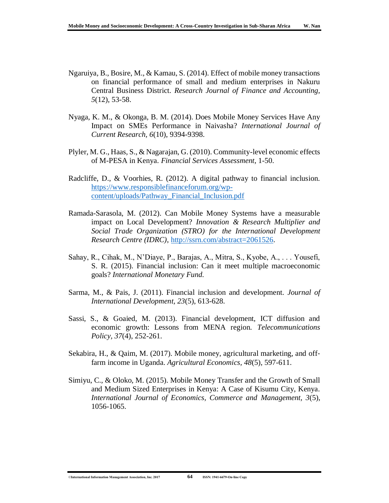- Ngaruiya, B., Bosire, M., & Kamau, S. (2014). Effect of mobile money transactions on financial performance of small and medium enterprises in Nakuru Central Business District. *Research Journal of Finance and Accounting, 5*(12), 53-58.
- Nyaga, K. M., & Okonga, B. M. (2014). Does Mobile Money Services Have Any Impact on SMEs Performance in Naivasha? *International Journal of Current Research, 6*(10), 9394-9398.
- Plyler, M. G., Haas, S., & Nagarajan, G. (2010). Community-level economic effects of M-PESA in Kenya. *Financial Services Assessment*, 1-50.
- Radcliffe, D., & Voorhies, R. (2012). A digital pathway to financial inclusion. [https://www.responsiblefinanceforum.org/wp](https://www.responsiblefinanceforum.org/wp-content/uploads/Pathway_Financial_Inclusion.pdf)[content/uploads/Pathway\\_Financial\\_Inclusion.pdf](https://www.responsiblefinanceforum.org/wp-content/uploads/Pathway_Financial_Inclusion.pdf)
- Ramada-Sarasola, M. (2012). Can Mobile Money Systems have a measurable impact on Local Development? *Innovation & Research Multiplier and Social Trade Organization (STRO) for the International Development Research Centre (IDRC)*, [http://ssrn.com/abstract=2061526.](http://ssrn.com/abstract=2061526)
- Sahay, R., Cihak, M., N'Diaye, P., Barajas, A., Mitra, S., Kyobe, A., . . . Yousefi, S. R. (2015). Financial inclusion: Can it meet multiple macroeconomic goals? *International Monetary Fund.*
- Sarma, M., & Pais, J. (2011). Financial inclusion and development. *Journal of International Development, 23*(5), 613-628.
- Sassi, S., & Goaied, M. (2013). Financial development, ICT diffusion and economic growth: Lessons from MENA region. *Telecommunications Policy, 37*(4), 252-261.
- Sekabira, H., & Qaim, M. (2017). Mobile money, agricultural marketing, and off‐ farm income in Uganda. *Agricultural Economics, 48*(5), 597-611.
- Simiyu, C., & Oloko, M. (2015). Mobile Money Transfer and the Growth of Small and Medium Sized Enterprises in Kenya: A Case of Kisumu City, Kenya. *International Journal of Economics, Commerce and Management, 3*(5), 1056-1065.